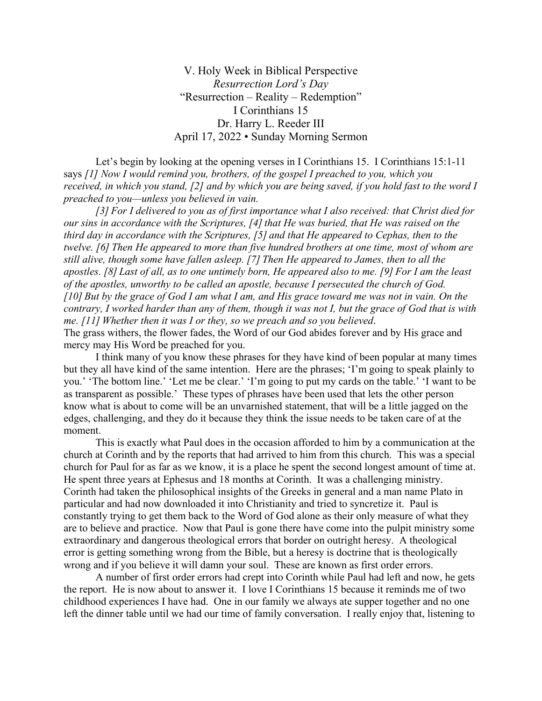V. Holy Week in Biblical Perspective *Resurrection Lord's Day* "Resurrection – Reality – Redemption" I Corinthians 15 Dr. Harry L. Reeder III April 17, 2022 • Sunday Morning Sermon

 Let's begin by looking at the opening verses in I Corinthians 15. I Corinthians 15:1-11 says *[1] Now I would remind you, brothers, of the gospel I preached to you, which you received, in which you stand, [2] and by which you are being saved, if you hold fast to the word I preached to you—unless you believed in vain.* 

*[3] For I delivered to you as of first importance what I also received: that Christ died for our sins in accordance with the Scriptures,* [4] that He was buried, that He was raised on the *third day in accordance with the Scriptures, [5] and that He appeared to Cephas, then to the twelve. [6] Then He appeared to more than five hundred brothers at one time, most of whom are still alive, though some have fallen asleep. [7] Then He appeared to James, then to all the apostles. [8] Last of all, as to one untimely born, He appeared also to me. [9] For I am the least of the apostles, unworthy to be called an apostle, because I persecuted the church of God. [10] But by the grace of God I am what I am, and His grace toward me was not in vain. On the contrary, I worked harder than any of them, though it was not I, but the grace of God that is with me. [11] Whether then it was I or they, so we preach and so you believed*. The grass withers, the flower fades, the Word of our God abides forever and by His grace and mercy may His Word be preached for you.

 I think many of you know these phrases for they have kind of been popular at many times but they all have kind of the same intention. Here are the phrases; 'I'm going to speak plainly to you.' 'The bottom line.' 'Let me be clear.' 'I'm going to put my cards on the table.' 'I want to be as transparent as possible.' These types of phrases have been used that lets the other person know what is about to come will be an unvarnished statement, that will be a little jagged on the edges, challenging, and they do it because they think the issue needs to be taken care of at the moment.

 This is exactly what Paul does in the occasion afforded to him by a communication at the church at Corinth and by the reports that had arrived to him from this church. This was a special church for Paul for as far as we know, it is a place he spent the second longest amount of time at. He spent three years at Ephesus and 18 months at Corinth. It was a challenging ministry. Corinth had taken the philosophical insights of the Greeks in general and a man name Plato in particular and had now downloaded it into Christianity and tried to syncretize it. Paul is constantly trying to get them back to the Word of God alone as their only measure of what they are to believe and practice. Now that Paul is gone there have come into the pulpit ministry some extraordinary and dangerous theological errors that border on outright heresy. A theological error is getting something wrong from the Bible, but a heresy is doctrine that is theologically wrong and if you believe it will damn your soul. These are known as first order errors.

A number of first order errors had crept into Corinth while Paul had left and now, he gets the report. He is now about to answer it. I love I Corinthians 15 because it reminds me of two childhood experiences I have had. One in our family we always ate supper together and no one left the dinner table until we had our time of family conversation. I really enjoy that, listening to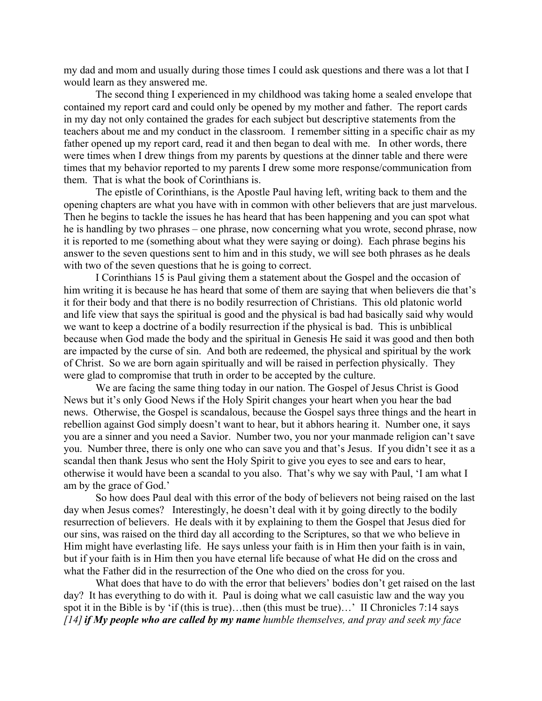my dad and mom and usually during those times I could ask questions and there was a lot that I would learn as they answered me.

 The second thing I experienced in my childhood was taking home a sealed envelope that contained my report card and could only be opened by my mother and father. The report cards in my day not only contained the grades for each subject but descriptive statements from the teachers about me and my conduct in the classroom. I remember sitting in a specific chair as my father opened up my report card, read it and then began to deal with me. In other words, there were times when I drew things from my parents by questions at the dinner table and there were times that my behavior reported to my parents I drew some more response/communication from them. That is what the book of Corinthians is.

 The epistle of Corinthians, is the Apostle Paul having left, writing back to them and the opening chapters are what you have with in common with other believers that are just marvelous. Then he begins to tackle the issues he has heard that has been happening and you can spot what he is handling by two phrases – one phrase, now concerning what you wrote, second phrase, now it is reported to me (something about what they were saying or doing). Each phrase begins his answer to the seven questions sent to him and in this study, we will see both phrases as he deals with two of the seven questions that he is going to correct.

 I Corinthians 15 is Paul giving them a statement about the Gospel and the occasion of him writing it is because he has heard that some of them are saying that when believers die that's it for their body and that there is no bodily resurrection of Christians. This old platonic world and life view that says the spiritual is good and the physical is bad had basically said why would we want to keep a doctrine of a bodily resurrection if the physical is bad. This is unbiblical because when God made the body and the spiritual in Genesis He said it was good and then both are impacted by the curse of sin. And both are redeemed, the physical and spiritual by the work of Christ. So we are born again spiritually and will be raised in perfection physically. They were glad to compromise that truth in order to be accepted by the culture.

 We are facing the same thing today in our nation. The Gospel of Jesus Christ is Good News but it's only Good News if the Holy Spirit changes your heart when you hear the bad news. Otherwise, the Gospel is scandalous, because the Gospel says three things and the heart in rebellion against God simply doesn't want to hear, but it abhors hearing it. Number one, it says you are a sinner and you need a Savior. Number two, you nor your manmade religion can't save you. Number three, there is only one who can save you and that's Jesus. If you didn't see it as a scandal then thank Jesus who sent the Holy Spirit to give you eyes to see and ears to hear, otherwise it would have been a scandal to you also. That's why we say with Paul, 'I am what I am by the grace of God.'

 So how does Paul deal with this error of the body of believers not being raised on the last day when Jesus comes? Interestingly, he doesn't deal with it by going directly to the bodily resurrection of believers. He deals with it by explaining to them the Gospel that Jesus died for our sins, was raised on the third day all according to the Scriptures, so that we who believe in Him might have everlasting life. He says unless your faith is in Him then your faith is in vain, but if your faith is in Him then you have eternal life because of what He did on the cross and what the Father did in the resurrection of the One who died on the cross for you.

 What does that have to do with the error that believers' bodies don't get raised on the last day? It has everything to do with it. Paul is doing what we call casuistic law and the way you spot it in the Bible is by 'if (this is true)...then (this must be true)...' II Chronicles 7:14 says *[14]if My people who are called by my name humble themselves, and pray and seek my face*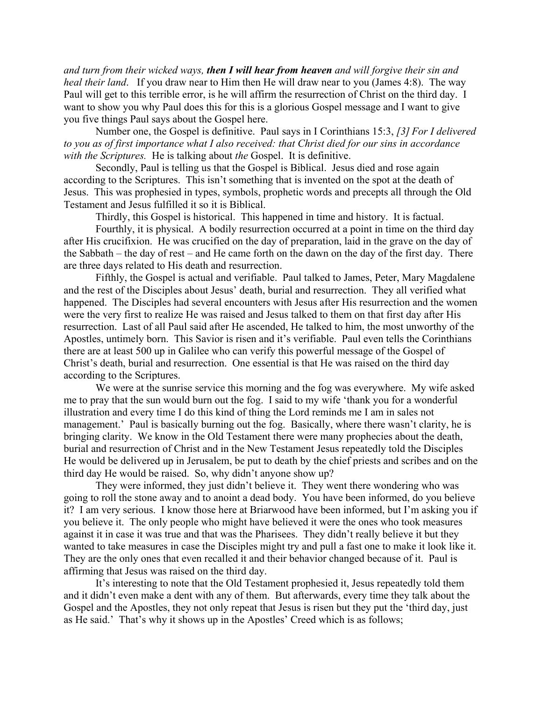*and turn from their wicked ways, then I will hear from heaven and will forgive their sin and heal their land*. If you draw near to Him then He will draw near to you (James 4:8). The way Paul will get to this terrible error, is he will affirm the resurrection of Christ on the third day. I want to show you why Paul does this for this is a glorious Gospel message and I want to give you five things Paul says about the Gospel here.

 Number one, the Gospel is definitive. Paul says in I Corinthians 15:3, *[3] For I delivered to you as of first importance what I also received: that Christ died for our sins in accordance with the Scriptures.* He is talking about *the* Gospel. It is definitive.

Secondly, Paul is telling us that the Gospel is Biblical. Jesus died and rose again according to the Scriptures. This isn't something that is invented on the spot at the death of Jesus. This was prophesied in types, symbols, prophetic words and precepts all through the Old Testament and Jesus fulfilled it so it is Biblical.

Thirdly, this Gospel is historical. This happened in time and history. It is factual.

Fourthly, it is physical. A bodily resurrection occurred at a point in time on the third day after His crucifixion. He was crucified on the day of preparation, laid in the grave on the day of the Sabbath – the day of rest – and He came forth on the dawn on the day of the first day. There are three days related to His death and resurrection.

 Fifthly, the Gospel is actual and verifiable. Paul talked to James, Peter, Mary Magdalene and the rest of the Disciples about Jesus' death, burial and resurrection. They all verified what happened. The Disciples had several encounters with Jesus after His resurrection and the women were the very first to realize He was raised and Jesus talked to them on that first day after His resurrection. Last of all Paul said after He ascended, He talked to him, the most unworthy of the Apostles, untimely born. This Savior is risen and it's verifiable. Paul even tells the Corinthians there are at least 500 up in Galilee who can verify this powerful message of the Gospel of Christ's death, burial and resurrection. One essential is that He was raised on the third day according to the Scriptures.

We were at the sunrise service this morning and the fog was everywhere. My wife asked me to pray that the sun would burn out the fog. I said to my wife 'thank you for a wonderful illustration and every time I do this kind of thing the Lord reminds me I am in sales not management.' Paul is basically burning out the fog. Basically, where there wasn't clarity, he is bringing clarity. We know in the Old Testament there were many prophecies about the death, burial and resurrection of Christ and in the New Testament Jesus repeatedly told the Disciples He would be delivered up in Jerusalem, be put to death by the chief priests and scribes and on the third day He would be raised. So, why didn't anyone show up?

 They were informed, they just didn't believe it. They went there wondering who was going to roll the stone away and to anoint a dead body. You have been informed, do you believe it? I am very serious. I know those here at Briarwood have been informed, but I'm asking you if you believe it. The only people who might have believed it were the ones who took measures against it in case it was true and that was the Pharisees. They didn't really believe it but they wanted to take measures in case the Disciples might try and pull a fast one to make it look like it. They are the only ones that even recalled it and their behavior changed because of it. Paul is affirming that Jesus was raised on the third day.

It's interesting to note that the Old Testament prophesied it, Jesus repeatedly told them and it didn't even make a dent with any of them. But afterwards, every time they talk about the Gospel and the Apostles, they not only repeat that Jesus is risen but they put the 'third day, just as He said.' That's why it shows up in the Apostles' Creed which is as follows;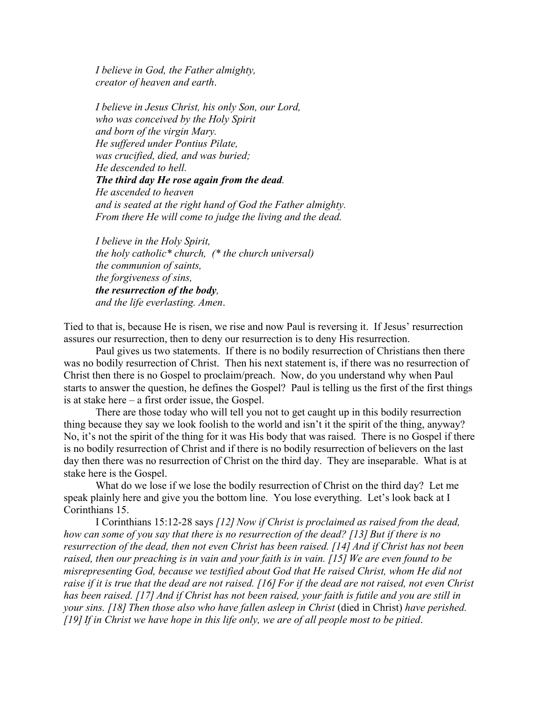*I believe in God, the Father almighty, creator of heaven and earth*.

*I believe in Jesus Christ, his only Son, our Lord, who was conceived by the Holy Spirit and born of the virgin Mary. He suffered under Pontius Pilate, was crucified, died, and was buried; He descended to hell. The third day He rose again from the dead. He ascended to heaven and is seated at the right hand of God the Father almighty. From there He will come to judge the living and the dead.* 

*I believe in the Holy Spirit, the holy catholic\* church, (\* the church universal) the communion of saints, the forgiveness of sins, the resurrection of the body, and the life everlasting. Amen*.

Tied to that is, because He is risen, we rise and now Paul is reversing it. If Jesus' resurrection assures our resurrection, then to deny our resurrection is to deny His resurrection.

 Paul gives us two statements. If there is no bodily resurrection of Christians then there was no bodily resurrection of Christ. Then his next statement is, if there was no resurrection of Christ then there is no Gospel to proclaim/preach. Now, do you understand why when Paul starts to answer the question, he defines the Gospel? Paul is telling us the first of the first things is at stake here – a first order issue, the Gospel.

 There are those today who will tell you not to get caught up in this bodily resurrection thing because they say we look foolish to the world and isn't it the spirit of the thing, anyway? No, it's not the spirit of the thing for it was His body that was raised. There is no Gospel if there is no bodily resurrection of Christ and if there is no bodily resurrection of believers on the last day then there was no resurrection of Christ on the third day. They are inseparable. What is at stake here is the Gospel.

What do we lose if we lose the bodily resurrection of Christ on the third day? Let me speak plainly here and give you the bottom line. You lose everything. Let's look back at I Corinthians 15.

I Corinthians 15:12-28 says *[12] Now if Christ is proclaimed as raised from the dead, how can some of you say that there is no resurrection of the dead? [13] But if there is no resurrection of the dead, then not even Christ has been raised. [14] And if Christ has not been raised, then our preaching is in vain and your faith is in vain. [15] We are even found to be misrepresenting God, because we testified about God that He raised Christ, whom He did not raise if it is true that the dead are not raised. [16] For if the dead are not raised, not even Christ has been raised. [17] And if Christ has not been raised, your faith is futile and you are still in your sins. [18] Then those also who have fallen asleep in Christ* (died in Christ) *have perished. [19]If in Christ we have hope in this life only, we are of all people most to be pitied*.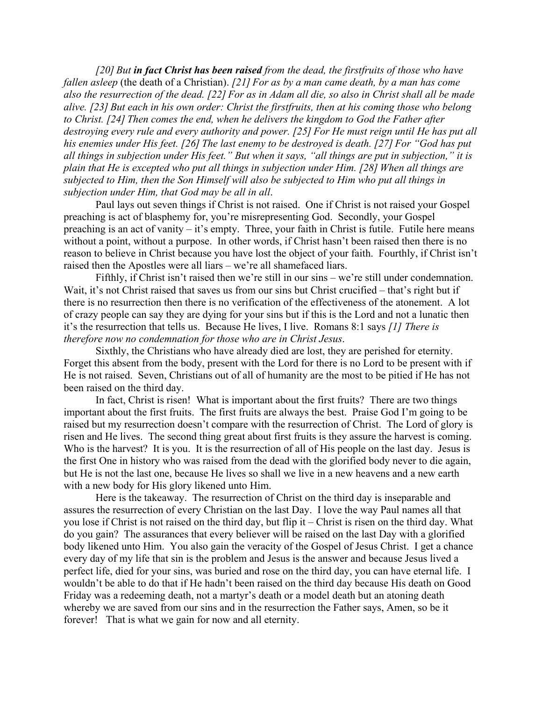*[20] But in fact Christ has been raised from the dead, the firstfruits of those who have fallen asleep* (the death of a Christian). *[21] For as by a man came death, by a man has come also the resurrection of the dead. [22] For as in Adam all die, so also in Christ shall all be made alive. [23] But each in his own order: Christ the firstfruits, then at his coming those who belong to Christ. [24] Then comes the end, when he delivers the kingdom to God the Father after destroying every rule and every authority and power. [25] For He must reign until He has put all his enemies under His feet. [26] The last enemy to be destroyed is death. [27] For "God has put all things in subjection under His feet." But when it says, "all things are put in subjection," it is plain that He is excepted who put all things in subjection under Him. [28] When all things are subjected to Him, then the Son Himself will also be subjected to Him who put all things in subjection under Him, that God may be all in all*.

 Paul lays out seven things if Christ is not raised. One if Christ is not raised your Gospel preaching is act of blasphemy for, you're misrepresenting God. Secondly, your Gospel preaching is an act of vanity – it's empty. Three, your faith in Christ is futile. Futile here means without a point, without a purpose. In other words, if Christ hasn't been raised then there is no reason to believe in Christ because you have lost the object of your faith. Fourthly, if Christ isn't raised then the Apostles were all liars – we're all shamefaced liars.

Fifthly, if Christ isn't raised then we're still in our sins – we're still under condemnation. Wait, it's not Christ raised that saves us from our sins but Christ crucified – that's right but if there is no resurrection then there is no verification of the effectiveness of the atonement. A lot of crazy people can say they are dying for your sins but if this is the Lord and not a lunatic then it's the resurrection that tells us. Because He lives, I live. Romans 8:1 says *[1] There is therefore now no condemnation for those who are in Christ Jesus*.

Sixthly, the Christians who have already died are lost, they are perished for eternity. Forget this absent from the body, present with the Lord for there is no Lord to be present with if He is not raised. Seven, Christians out of all of humanity are the most to be pitied if He has not been raised on the third day.

In fact, Christ is risen! What is important about the first fruits? There are two things important about the first fruits. The first fruits are always the best. Praise God I'm going to be raised but my resurrection doesn't compare with the resurrection of Christ. The Lord of glory is risen and He lives. The second thing great about first fruits is they assure the harvest is coming. Who is the harvest? It is you. It is the resurrection of all of His people on the last day. Jesus is the first One in history who was raised from the dead with the glorified body never to die again, but He is not the last one, because He lives so shall we live in a new heavens and a new earth with a new body for His glory likened unto Him.

Here is the takeaway. The resurrection of Christ on the third day is inseparable and assures the resurrection of every Christian on the last Day. I love the way Paul names all that you lose if Christ is not raised on the third day, but flip it – Christ is risen on the third day. What do you gain? The assurances that every believer will be raised on the last Day with a glorified body likened unto Him. You also gain the veracity of the Gospel of Jesus Christ. I get a chance every day of my life that sin is the problem and Jesus is the answer and because Jesus lived a perfect life, died for your sins, was buried and rose on the third day, you can have eternal life. I wouldn't be able to do that if He hadn't been raised on the third day because His death on Good Friday was a redeeming death, not a martyr's death or a model death but an atoning death whereby we are saved from our sins and in the resurrection the Father says, Amen, so be it forever! That is what we gain for now and all eternity.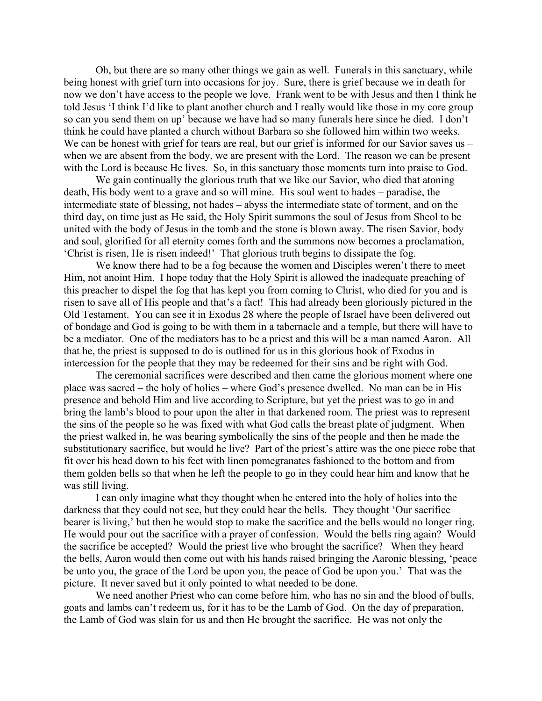Oh, but there are so many other things we gain as well. Funerals in this sanctuary, while being honest with grief turn into occasions for joy. Sure, there is grief because we in death for now we don't have access to the people we love. Frank went to be with Jesus and then I think he told Jesus 'I think I'd like to plant another church and I really would like those in my core group so can you send them on up' because we have had so many funerals here since he died. I don't think he could have planted a church without Barbara so she followed him within two weeks. We can be honest with grief for tears are real, but our grief is informed for our Savior saves us – when we are absent from the body, we are present with the Lord. The reason we can be present with the Lord is because He lives. So, in this sanctuary those moments turn into praise to God.

We gain continually the glorious truth that we like our Savior, who died that atoning death, His body went to a grave and so will mine. His soul went to hades – paradise, the intermediate state of blessing, not hades – abyss the intermediate state of torment, and on the third day, on time just as He said, the Holy Spirit summons the soul of Jesus from Sheol to be united with the body of Jesus in the tomb and the stone is blown away. The risen Savior, body and soul, glorified for all eternity comes forth and the summons now becomes a proclamation, 'Christ is risen, He is risen indeed!' That glorious truth begins to dissipate the fog.

We know there had to be a fog because the women and Disciples weren't there to meet Him, not anoint Him. I hope today that the Holy Spirit is allowed the inadequate preaching of this preacher to dispel the fog that has kept you from coming to Christ, who died for you and is risen to save all of His people and that's a fact! This had already been gloriously pictured in the Old Testament. You can see it in Exodus 28 where the people of Israel have been delivered out of bondage and God is going to be with them in a tabernacle and a temple, but there will have to be a mediator. One of the mediators has to be a priest and this will be a man named Aaron. All that he, the priest is supposed to do is outlined for us in this glorious book of Exodus in intercession for the people that they may be redeemed for their sins and be right with God.

The ceremonial sacrifices were described and then came the glorious moment where one place was sacred – the holy of holies – where God's presence dwelled. No man can be in His presence and behold Him and live according to Scripture, but yet the priest was to go in and bring the lamb's blood to pour upon the alter in that darkened room. The priest was to represent the sins of the people so he was fixed with what God calls the breast plate of judgment. When the priest walked in, he was bearing symbolically the sins of the people and then he made the substitutionary sacrifice, but would he live? Part of the priest's attire was the one piece robe that fit over his head down to his feet with linen pomegranates fashioned to the bottom and from them golden bells so that when he left the people to go in they could hear him and know that he was still living.

I can only imagine what they thought when he entered into the holy of holies into the darkness that they could not see, but they could hear the bells. They thought 'Our sacrifice bearer is living,' but then he would stop to make the sacrifice and the bells would no longer ring. He would pour out the sacrifice with a prayer of confession. Would the bells ring again? Would the sacrifice be accepted? Would the priest live who brought the sacrifice? When they heard the bells, Aaron would then come out with his hands raised bringing the Aaronic blessing, 'peace be unto you, the grace of the Lord be upon you, the peace of God be upon you.' That was the picture. It never saved but it only pointed to what needed to be done.

We need another Priest who can come before him, who has no sin and the blood of bulls, goats and lambs can't redeem us, for it has to be the Lamb of God. On the day of preparation, the Lamb of God was slain for us and then He brought the sacrifice. He was not only the